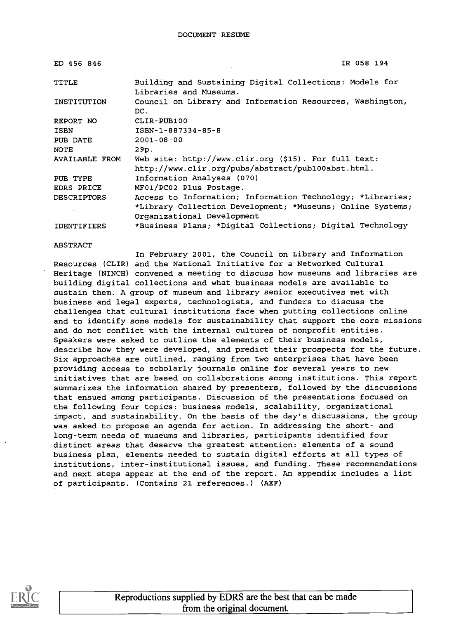| ED 456 846         | IR 058 194                                                                        |
|--------------------|-----------------------------------------------------------------------------------|
| <b>TITLE</b>       | Building and Sustaining Digital Collections: Models for<br>Libraries and Museums. |
| INSTITUTION        | Council on Library and Information Resources, Washington,<br>$DC$ .               |
| REPORT NO          | CLIR-PUB100                                                                       |
| <b>ISBN</b>        | ISBN-1-887334-85-8                                                                |
| PUB DATE           | $2001 - 08 - 00$                                                                  |
| <b>NOTE</b>        | 29p.                                                                              |
| AVAILABLE FROM     | Web site: $http://www.clir.org ($15). For full text:$                             |
|                    | http://www.clir.org/pubs/abstract/pub100abst.html.                                |
| PUB TYPE           | Information Analyses (070)                                                        |
| EDRS PRICE         | MF01/PC02 Plus Postage.                                                           |
| <b>DESCRIPTORS</b> | Access to Information; Information Technology; *Libraries;                        |
|                    | *Library Collection Development; *Museums; Online Systems;                        |
|                    | Organizational Development                                                        |
| <b>IDENTIFIERS</b> | *Business Plans; *Digital Collections; Digital Technology                         |

#### ABSTRACT

In February 2001, the Council on Library and Information Resources (CLIR) and the National Initiative for a Networked Cultural Heritage (NINCH) convened a meeting to discuss how museums and libraries are building digital collections and what business models are available to sustain them. A group of museum and library senior executives met with business and legal experts, technologists, and funders to discuss the challenges that cultural institutions face when putting collections online and to identify some models for sustainability that support the core missions and do not conflict with the internal cultures of nonprofit entities. Speakers were asked to outline the elements of their business models, describe how they were developed, and predict their prospects for the future. Six approaches are outlined, ranging from two enterprises that have been providing access to scholarly journals online for several years to new initiatives that are based on collaborations among institutions. This report summarizes the information shared by presenters, followed by the discussions that ensued among participants. Discussion of the presentations focused on the following four topics: business models, scalability, organizational impact, and sustainability. On the basis of the day's discussions, the group was asked to propose an agenda for action. In addressing the short- and long-term needs of museums and libraries, participants identified four distinct areas that deserve the greatest attention: elements of a sound business plan, elements needed to sustain digital efforts at all types of institutions, inter-institutional issues, and funding. These recommendations and next steps appear at the end of the report. An appendix includes a list of participants. (Contains 21 references.) (AEF)



Reproductions supplied by EDRS are the best that can be made from the original document.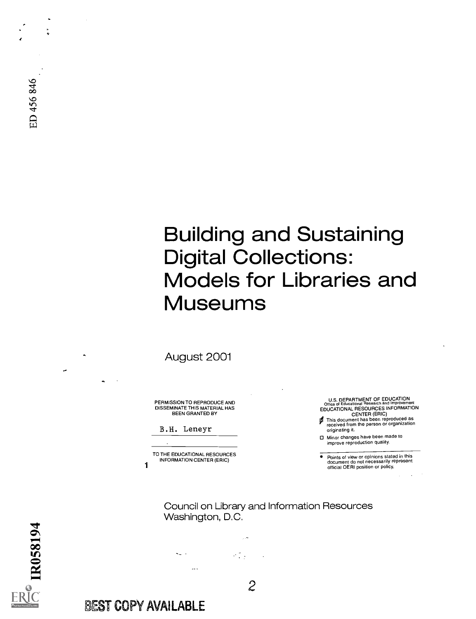# Building and Sustaining Digital Collections: Models for Libraries and Museums

August 2001

PERMISSION TO REPRODUCE AND DISSEMINATE THIS MATERIAL HAS BEEN GRANTED BY

|  |  | B.H. Leneyr |
|--|--|-------------|
|--|--|-------------|

TO THE EDUCATIONAL RESOURCES INFORMATION CENTER (ERIC)

U.S. DEPARTMENT OF EDUCATION Office of Educational Research and Improvement EDUCATIONAL RESOURCES INFORMATION CENTER (ERIC) This document has been reproduced as

Ø received from the person or organization originating it.

0 Minor changes have been made to improve reproduction quality.

 $\bullet$ Points of view or opinions stated in this document do not necessarily represent official OERI position or policy.

Council on Library and Information Resources Washington, D.C.

ALC 13  $\mathcal{L}(\mathcal{L})$  .  $\sim$ 

2

**PR058194** 

### BEST COPY AVAILABLE

1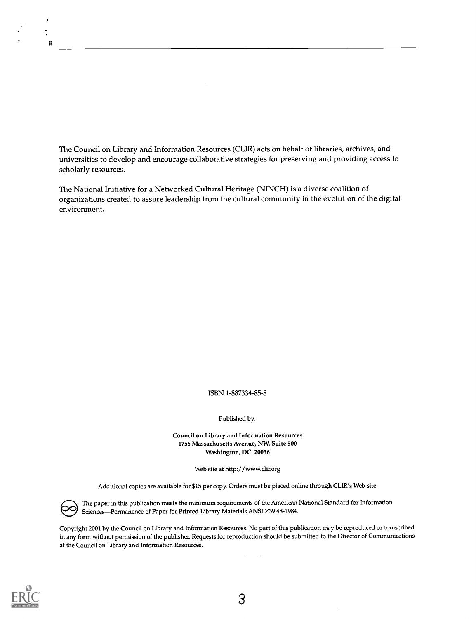The Council on Library and Information Resources (CUR) acts on behalf of libraries, archives, and universities to develop and encourage collaborative strategies for preserving and providing access to scholarly resources.

The National Initiative for a Networked Cultural Heritage (NINCH) is a diverse coalition of organizations created to assure leadership from the cultural community in the evolution of the digital environment.

ISBN 1-887334-85-8

Published by:

Council on Library and Information Resources 1755 Massachusetts Avenue, NW, Suite 500 Washington, DC 20036

Web site at http://www.clir.org

Additional copies are available for \$15 per copy. Orders must be placed online through CLIR's Web site.

The paper in this publication meets the minimum required Sciences—Permanence of Paper for Printed Library Mat The paper in this publication meets the minimum requirements of the American National Standard for Information Sciences-Permanence of Paper for Printed Library Materials ANSI Z39.48-1984.

Copyright 2001 by the Council on Library and Information Resources. No part of this publication may be reproduced or transcribed in any form without permission of the publisher. Requests for reproduction should be submitted to the Director of Communications at the Council on Library and Information Resources.



II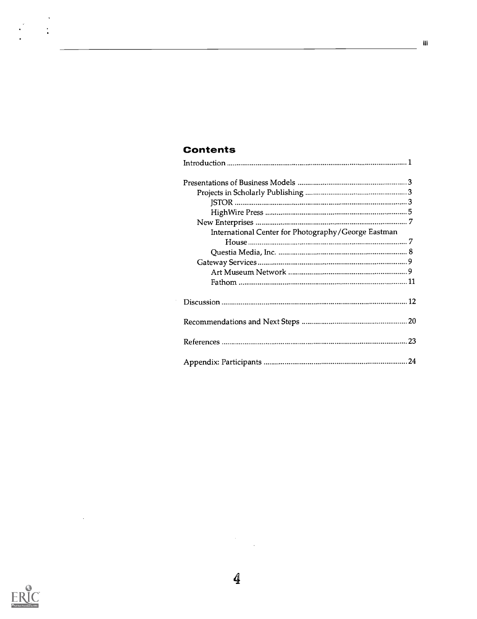### Contents

| International Center for Photography/George Eastman |    |
|-----------------------------------------------------|----|
|                                                     |    |
|                                                     |    |
|                                                     |    |
|                                                     |    |
|                                                     |    |
|                                                     |    |
|                                                     |    |
|                                                     | 23 |
|                                                     |    |



 $\sim$   $\sim$ 

 $\frac{1}{2} \left( \frac{1}{2} \right)^2$ 

 $\bar{\mathcal{A}}$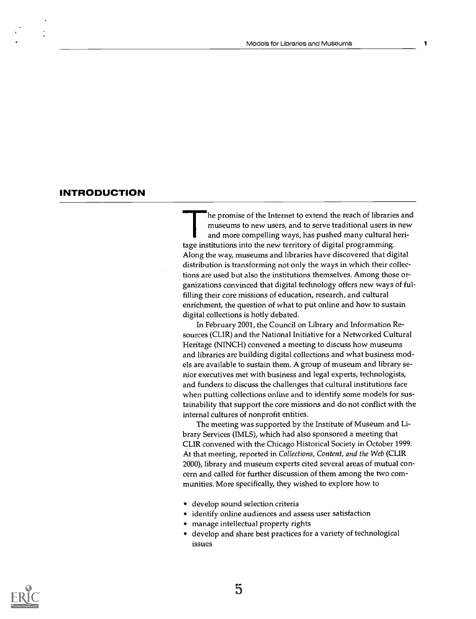#### **INTRODUCTION**

he promise of the Internet to extend the reach of libraries and museums to new users, and to serve traditional users in new and more compelling ways, has pushed many cultural heritage institutions into the new territory of digital programming. Along the way, museums and libraries have discovered that digital distribution is transforming not only the ways in which their collections are used but also the institutions themselves. Among those organizations convinced that digital technology offers new ways of fulfilling their core missions of education, research, and cultural enrichment, the question of what to put online and how to sustain digital collections is hotly debated.

In February 2001, the Council on Library and Information Resources (CLIR) and the National Initiative for a Networked Cultural Heritage (NINCH) convened a meeting to discuss how museums and libraries are building digital collections and what business models are available to sustain them. A group of museum and library senior executives met with business and legal experts, technologists, and funders to discuss the challenges that cultural institutions face when putting collections online and to identify some models for sustainability that support the core missions and do not conflict with the internal cultures of nonprofit entities.

The meeting was supported by the Institute of Museum and Library Services (IMLS), which had also sponsored a meeting that CUR convened with the Chicago Historical Society in October 1999. At that meeting, reported in Collections, Content, and the Web (CLIR 2000), library and museum experts cited several areas of mutual concern and called for further discussion of them among the two communities. More specifically, they wished to explore how to

- develop sound selection criteria
- identify online audiences and assess user satisfaction
- manage intellectual property rights
- develop and share best practices for a variety of technological issues

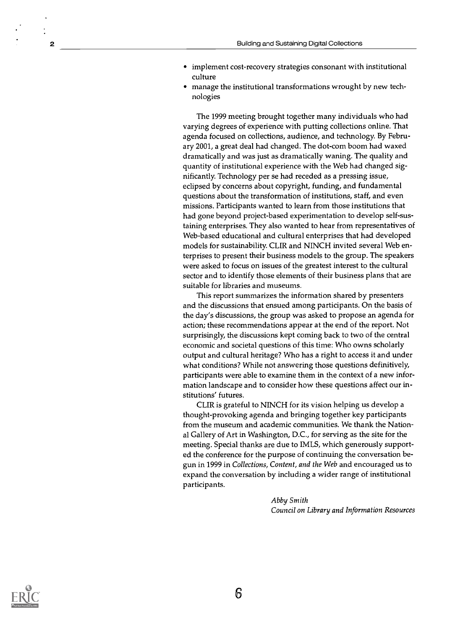- implement cost-recovery strategies consonant with institutional culture
- manage the institutional transformations wrought by new technologies

The 1999 meeting brought together many individuals who had varying degrees of experience with putting collections online. That agenda focused on collections, audience, and technology. By February 2001, a great deal had changed. The dot-com boom had waxed dramatically and was just as dramatically waning. The quality and quantity of institutional experience with the Web had changed significantly. Technology per se had receded as a pressing issue, eclipsed by concerns about copyright, funding, and fundamental questions about the transformation of institutions, staff, and even missions. Participants wanted to learn from those institutions that had gone beyond project-based experimentation to develop self-sustaining enterprises. They also wanted to hear from representatives of Web-based educational and cultural enterprises that had developed models for sustainability. CLIR and NINCH invited several Web enterprises to present their business models to the group. The speakers were asked to focus on issues of the greatest interest to the cultural sector and to identify those elements of their business plans that are suitable for libraries and museums.

This report summarizes the information shared by presenters and the discussions that ensued among participants. On the basis of the day's discussions, the group was asked to propose an agenda for action; these recommendations appear at the end of the report. Not surprisingly, the discussions kept coming back to two of the central economic and societal questions of this time: Who owns scholarly output and cultural heritage? Who has a right to access it and under what conditions? While not answering those questions definitively, participants were able to examine them in the context of a new information landscape and to consider how these questions affect our institutions' futures.

CLIR is grateful to NINCH for its vision helping us develop a thought-provoking agenda and bringing together key participants from the museum and academic communities. We thank the National Gallery of Art in Washington, D.C., for serving as the site for the meeting. Special thanks are due to IMLS, which generously supported the conference for the purpose of continuing the conversation begun in 1999 in Collections, Content, and the Web and encouraged us to expand the conversation by including a wider range of institutional participants.

> Abby Smith Council on Library and Information Resources

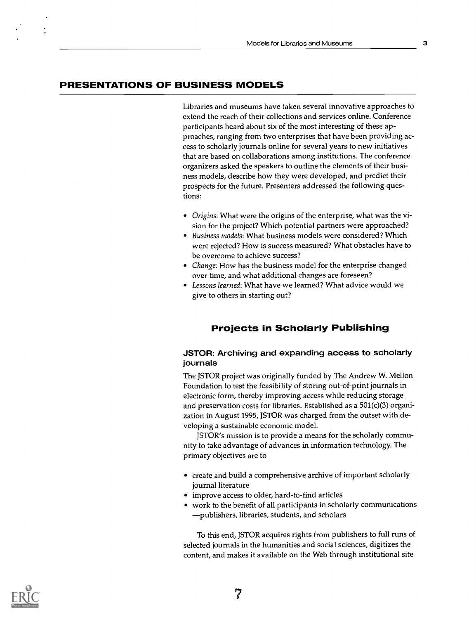#### PRESENTATIONS OF BUSINESS MODELS

Libraries and museums have taken several innovative approaches to extend the reach of their collections and services online. Conference participants heard about six of the most interesting of these approaches, ranging from two enterprises that have been providing access to scholarly journals online for several years to new initiatives that are based on collaborations among institutions. The conference organizers asked the speakers to outline the elements of their business models, describe how they were developed, and predict their prospects for the future. Presenters addressed the following questions:

- Origins: What were the origins of the enterprise, what was the vision for the project? Which potential partners were approached?
- Business models: What business models were considered? Which were rejected? How is success measured? What obstacles have to be overcome to achieve success?
- Change: How has the business model for the enterprise changed over time, and what additional changes are foreseen?
- Lessons learned: What have we learned? What advice would we give to others in starting out?

#### Projects in Scholarly Publishing

#### JSTOR: Archiving and expanding access to scholarly journals

The JSTOR project was originally funded by The Andrew W. Mellon Foundation to test the feasibility of storing out-of-print journals in electronic form, thereby improving access while reducing storage and preservation costs for libraries. Established as a 501(c)(3) organization in August 1995, JSTOR was charged from the outset with developing a sustainable economic model.

JSTOR's mission is to provide a means for the scholarly community to take advantage of advances in information technology. The primary objectives are to

- create and build a comprehensive archive of important scholarly journal literature
- improve access to older, hard-to-find articles
- work to the benefit of all participants in scholarly communications publishers, libraries, students, and scholars

To this end, JSTOR acquires rights from publishers to full runs of selected journals in the humanities and social sciences, digitizes the content, and makes it available on the Web through institutional site

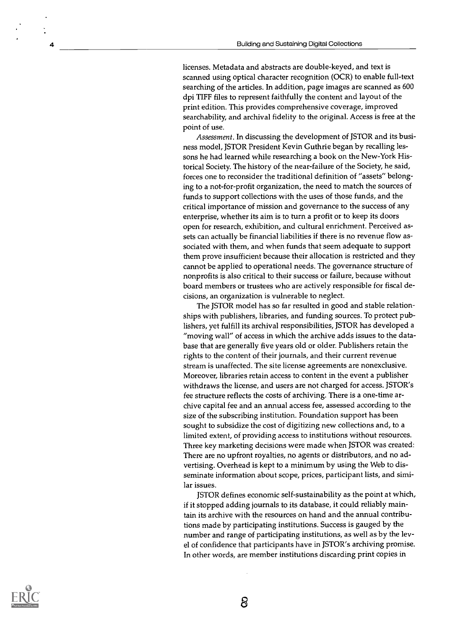licenses. Metadata and abstracts are double-keyed, and text is scanned using optical character recognition (OCR) to enable full-text searching of the articles. In addition, page images are scanned as 600 dpi TIFF files to represent faithfully the content and layout of the print edition. This provides comprehensive coverage, improved searchability, and archival fidelity to the original. Access is free at the point of use.

Assessment. In discussing the development of JSTOR and its business model, JSTOR President Kevin Guthrie began by recalling lessons he had learned while researching a book on the New-York Historical Society. The history of the near-failure of the Society, he said, forces one to reconsider the traditional definition of "assets" belonging to a not-for-profit organization, the need to match the sources of funds to support collections with the uses of those funds, and the critical importance of mission and governance to the success of any enterprise, whether its aim is to turn a profit or to keep its doors open for research, exhibition, and cultural enrichment. Perceived assets can actually be financial liabilities if there is no revenue flow associated with them, and when funds that seem adequate to support them prove insufficient because their allocation is restricted and they cannot be applied to operational needs. The governance structure of nonprofits is also critical to their success or failure, because without board members or trustees who are actively responsible for fiscal decisions, an organization is vulnerable to neglect.

The JSTOR model has so far resulted in good and stable relationships with publishers, libraries, and funding sources. To protect publishers, yet fulfill its archival responsibilities, JSTOR has developed a "moving wall" of access in which the archive adds issues to the database that are generally five years old or older. Publishers retain the rights to the content of their journals, and their current revenue stream is unaffected. The site license agreements are nonexclusive. Moreover, libraries retain access to content in the event a publisher withdraws the license, and users are not charged for access. JSTOR's fee structure reflects the costs of archiving. There is a one-time archive capital fee and an annual access fee, assessed according to the size of the subscribing institution. Foundation support has been sought to subsidize the cost of digitizing new collections and, to a limited extent, of providing access to institutions without resources. Three key marketing decisions were made when JSTOR was created: There are no upfront royalties, no agents or distributors, and no advertising. Overhead is kept to a minimum by using the Web to disseminate information about scope, prices, participant lists, and similar issues.

JSTOR defines economic self-sustainability as the point at which, if it stopped adding journals to its database, it could reliably maintain its archive with the resources on hand and the annual contributions made by participating institutions. Success is gauged by the number and range of participating institutions, as well as by the level of confidence that participants have in JSTOR's archiving promise. In other words, are member institutions discarding print copies in



8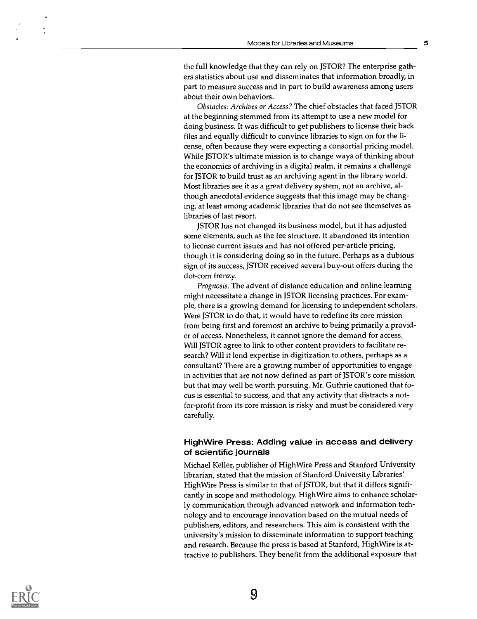the full knowledge that they can rely on JSTOR? The enterprise gathers statistics about use and disseminates that information broadly, in part to measure success and in part to build awareness among users about their own behaviors.

Obstacles: Archives or Access? The chief obstacles that faced JSTOR at the beginning stemmed from its attempt to use a new model for doing business. It was difficult to get publishers to license their back files and equally difficult to convince libraries to sign on for the license, often because they were expecting a consortial pricing model. While JSTOR's ultimate mission is to change ways of thinking about the economics of archiving in a digital realm, it remains a challenge for JSTOR to build trust as an archiving agent in the library world. Most libraries see it as a great delivery system, not an archive, although anecdotal evidence suggests that this image may be changing, at least among academic libraries that do not see themselves as libraries of last resort.

JSTOR has not changed its business model, but it has adjusted some elements, such as the fee structure. It abandoned its intention to license current issues and has not offered per-article pricing, though it is considering doing so in the future. Perhaps as a dubious sign of its success, JSTOR received several buy-out offers during the dot-com frenzy.

Prognosis. The advent of distance education and online learning might necessitate a change in JSTOR licensing practices. For example, there is a growing demand for licensing to independent scholars. Were JSTOR to do that, it would have to redefine its core mission from being first and foremost an archive to being primarily a provider of access. Nonetheless, it cannot ignore the demand for access. Will JSTOR agree to link to other content providers to facilitate research? Will it lend expertise in digitization to others, perhaps as a consultant? There are a growing number of opportunities to engage in activities that are not now defined as part of JSTOR's core mission but that may well be worth pursuing. Mr. Guthrie cautioned that focus is essential to success, and that any activity that distracts a notfor-profit from its core mission is risky and must be considered very carefully.

#### High Wire Press: Adding value in access and delivery of scientific journals

Michael Keller, publisher of High Wire Press and Stanford University librarian, stated that the mission of Stanford University Libraries' HighWire Press is similar to that of JSTOR, but that it differs significantly in scope and methodology. High Wire aims to enhance scholarly communication through advanced network and information technology and to encourage innovation based on the mutual needs of publishers, editors, and researchers. This aim is consistent with the university's mission to disseminate information to support teaching and research. Because the press is based at Stanford, HighWire is attractive to publishers. They benefit from the additional exposure that

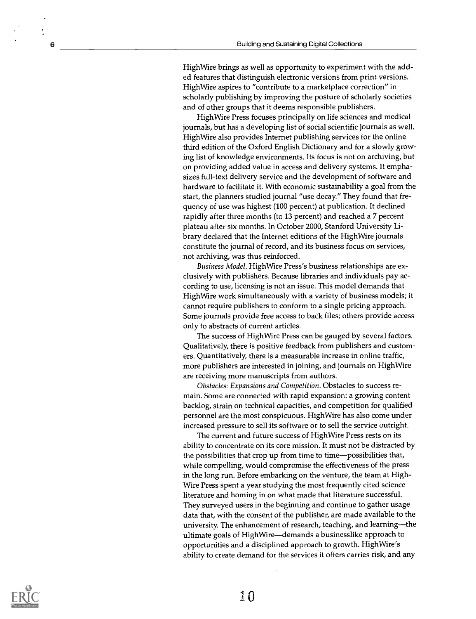High Wire brings as well as opportunity to experiment with the added features that distinguish electronic versions from print versions. High Wire aspires to "contribute to a marketplace correction" in scholarly publishing by improving the posture of scholarly societies and of other groups that it deems responsible publishers.

High Wire Press focuses principally on life sciences and medical journals, but has a developing list of social scientific journals as well. High Wire also provides Internet publishing services for the online third edition of the Oxford English Dictionary and for a slowly growing list of knowledge environments. Its focus is not on archiving, but on providing added value in access and delivery systems. It emphasizes full-text delivery service and the development of software and hardware to facilitate it. With economic sustainability a goal from the start, the planners studied journal "use decay." They found that frequency of use was highest (100 percent) at publication. It declined rapidly after three months (to 13 percent) and reached a 7 percent plateau after six months. In October 2000, Stanford University Library declared that the Internet editions of the High Wire journals constitute the journal of record, and its business focus on services, not archiving, was thus reinforced.

Business Model. High Wire Press's business relationships are exclusively with publishers. Because libraries and individuals pay according to use, licensing is not an issue. This model demands that High Wire work simultaneously with a variety of business models; it cannot require publishers to conform to a single pricing approach. Some journals provide free access to back files; others provide access only to abstracts of current articles.

The success of High Wire Press can be gauged by several factors. Qualitatively, there is positive feedback from publishers and customers. Quantitatively, there is a measurable increase in online traffic, more publishers are interested in joining, and journals on High Wire are receiving more manuscripts from authors.

Obstacles: Expansions and Competition. Obstacles to success remain. Some are connected with rapid expansion: a growing content backlog, strain on technical capacities, and competition for qualified personnel are the most conspicuous. High Wire has also come under increased pressure to sell its software or to sell the service outright.

The current and future success of High Wire Press rests on its ability to concentrate on its core mission. It must not be distracted by the possibilities that crop up from time to time-possibilities that, while compelling, would compromise the effectiveness of the press in the long run. Before embarking on the venture, the team at High-Wire Press spent a year studying the most frequently cited science literature and homing in on what made that literature successful. They surveyed users in the beginning and continue to gather usage data that, with the consent of the publisher, are made available to the university. The enhancement of research, teaching, and learning—the ultimate goals of High Wire-demands a businesslike approach to opportunities and a disciplined approach to growth. High Wire's ability to create demand for the services it offers carries risk, and any

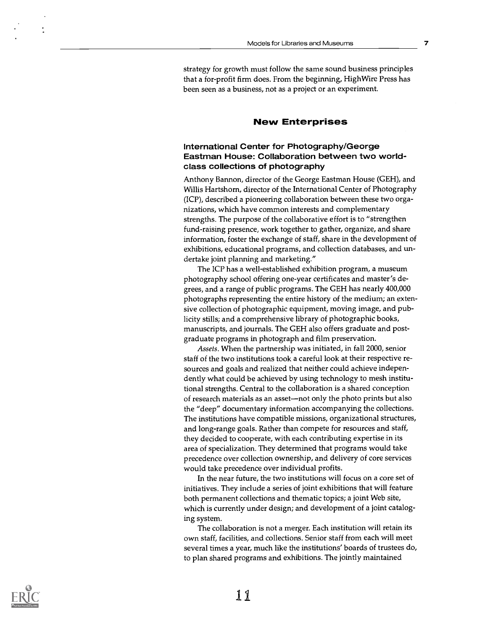strategy for growth must follow the same sound business principles that a for-profit firm does. From the beginning, High Wire Press has been seen as a business, not as a project or an experiment.

#### New Enterprises

#### International Center for Photography/George Eastman House: Collaboration between two worldclass collections of photography

Anthony Bannon, director of the George Eastman House (GEH), and Willis Hartshorn, director of the International Center of Photography (ICP), described a pioneering collaboration between these two organizations, which have common interests and complementary strengths. The purpose of the collaborative effort is to "strengthen fund-raising presence, work together to gather, organize, and share information, foster the exchange of staff, share in the development of exhibitions, educational programs, and collection databases, and undertake joint planning and marketing."

The ICP has a well-established exhibition program, a museum photography school offering one-year certificates and master's degrees, and a range of public programs. The GEH has nearly 400,000 photographs representing the entire history of the medium; an extensive collection of photographic equipment, moving image, and publicity stills; and a comprehensive library of photographic books, manuscripts, and journals. The GEH also offers graduate and postgraduate programs in photograph and film preservation.

Assets. When the partnership was initiated, in fall 2000, senior staff of the two institutions took a careful look at their respective resources and goals and realized that neither could achieve independently what could be achieved by using technology to mesh institutional strengths. Central to the collaboration is a shared conception of research materials as an asset—not only the photo prints but also the "deep" documentary information accompanying the collections. The institutions have compatible missions, organizational structures, and long-range goals. Rather than compete for resources and staff, they decided to cooperate, with each contributing expertise in its area of specialization. They determined that programs would take precedence over collection ownership, and delivery of core services would take precedence over individual profits.

In the near future, the two institutions will focus on a core set of initiatives. They include a series of joint exhibitions that will feature both permanent collections and thematic topics; a joint Web site, which is currently under design; and development of a joint cataloging system.

The collaboration is not a merger. Each institution will retain its own staff, facilities, and collections. Senior staff from each will meet several times a year, much like the institutions' boards of trustees do, to plan shared programs and exhibitions. The jointly maintained

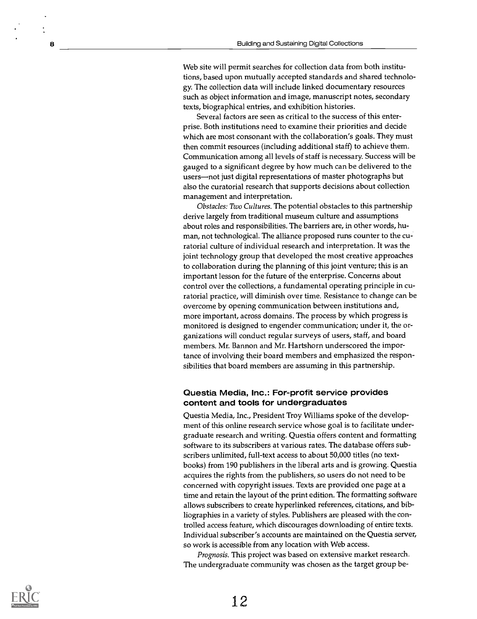Web site will permit searches for collection data from both institutions, based upon mutually accepted standards and shared technology. The collection data will include linked documentary resources such as object information and image, manuscript notes, secondary texts, biographical entries, and exhibition histories.

Several factors are seen as critical to the success of this enterprise. Both institutions need to examine their priorities and decide which are most consonant with the collaboration's goals. They must then commit resources (including additional staff) to achieve them. Communication among all levels of staff is necessary. Success will be gauged to a significant degree by how much can be delivered to the users—not just digital representations of master photographs but also the curatorial research that supports decisions about collection management and interpretation.

Obstacles: Two Cultures. The potential obstacles to this partnership derive largely from traditional museum culture and assumptions about roles and responsibilities. The barriers are, in other words, human, not technological. The alliance proposed runs counter to the curatorial culture of individual research and interpretation. It was the joint technology group that developed the most creative approaches to collaboration during the planning of this joint venture; this is an important lesson for the future of the enterprise. Concerns about control over the collections, a fundamental operating principle in curatorial practice, will diminish over time. Resistance to change can be overcome by opening communication between institutions and, more important, across domains. The process by which progress is monitored is designed to engender communication; under it, the organizations will conduct regular surveys of users, staff, and board members. Mr. Bannon and Mr. Hartshorn underscored the importance of involving their board members and emphasized the responsibilities that board members are assuming in this partnership.

#### Questia Media, Inc.: For-profit service provides content and tools for undergraduates

Questia Media, Inc., President Troy Williams spoke of the development of this online research service whose goal is to facilitate undergraduate research and writing. Questia offers content and formatting software to its subscribers at various rates. The database offers subscribers unlimited, full-text access to about 50,000 titles (no textbooks) from 190 publishers in the liberal arts and is growing. Questia acquires the rights from the publishers, so users do not need to be concerned with copyright issues. Texts are provided one page at a time and retain the layout of the print edition. The formatting software allows subscribers to create hyperlinked references, citations, and bibliographies in a variety of styles. Publishers are pleased with the controlled access feature, which discourages downloading of entire texts. Individual subscriber's accounts are maintained on the Questia server, so work is accessible from any location with Web access.

Prognosis. This project was based on extensive market research. The undergraduate community was chosen as the target group be-

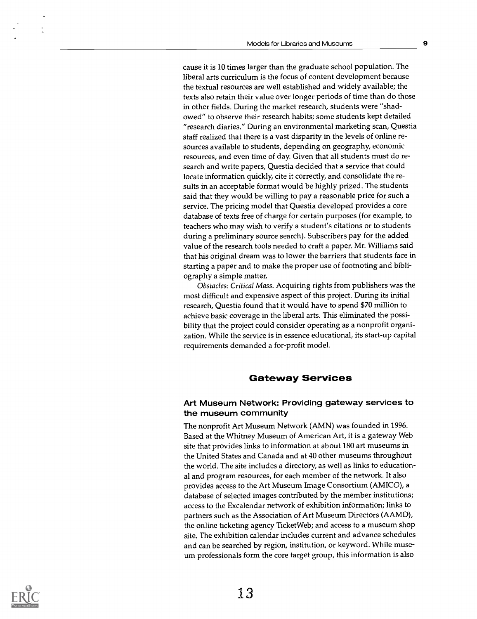cause it is 10 times larger than the graduate school population. The liberal arts curriculum is the focus of content development because the textual resources are well established and widely available; the texts also retain their value over longer periods of time than do those in other fields. During the market research, students were "shadowed" to observe their research habits; some students kept detailed "research diaries." During an environmental marketing scan, Questia staff realized that there is a vast disparity in the levels of online resources available to students, depending on geography, economic resources, and even time of day. Given that all students must do research and write papers, Questia decided that a service that could locate information quickly, cite it correctly, and consolidate the results in an acceptable format would be highly prized. The students said that they would be willing to pay a reasonable price for such a service. The pricing model that Questia developed provides a core database of texts free of charge for certain purposes (for example, to teachers who may wish to verify a student's citations or to students during a preliminary source search). Subscribers pay for the added value of the research tools needed to craft a paper. Mr. Williams said that his original dream was to lower the barriers that students face in starting a paper and to make the proper use of footnoting and bibliography a simple matter.

Obstacles: Critical Mass. Acquiring rights from publishers was the most difficult and expensive aspect of this project. During its initial research, Questia found that it would have to spend \$70 million to achieve basic coverage in the liberal arts. This eliminated the possibility that the project could consider operating as a nonprofit organization. While the service is in essence educational, its start-up capital requirements demanded a for-profit model.

#### Gateway Services

#### Art Museum Network: Providing gateway services to the museum community

The nonprofit Art Museum Network (AMN) was founded in 1996. Based at the Whitney Museum of American Art, it is a gateway Web site that provides links to information at about 180 art museums in the United States and Canada and at 40 other museums throughout the world. The site includes a directory, as well as links to educational and program resources, for each member of the network. It also provides access to the Art Museum Image Consortium (AMICO), a database of selected images contributed by the member institutions; access to the Excalendar network of exhibition information; links to partners such as the Association of Art Museum Directors (AAMD), the online ticketing agency Ticket Web; and access to a museum shop site. The exhibition calendar includes current and advance schedules and can be searched by region, institution, or keyword. While museum professionals form the core target group, this information is also

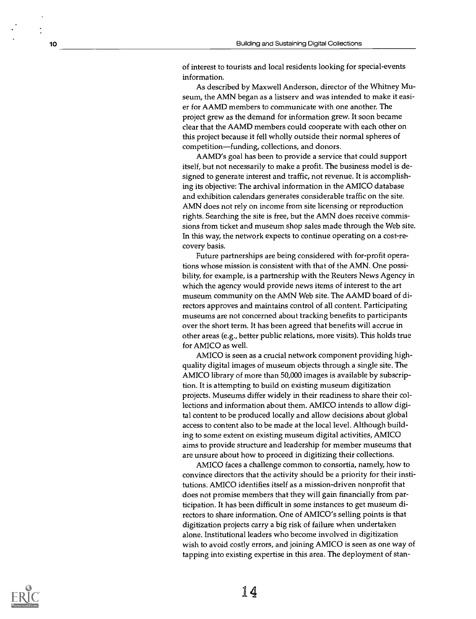of interest to tourists and local residents looking for special-events information.

As described by Maxwell Anderson, director of the Whitney Museum, the AMN began as a listserv and was intended to make it easier for AAMD members to communicate with one another. The project grew as the demand for information grew. It soon became clear that the AAMD members could cooperate with each other on this project because it fell wholly outside their normal spheres of competition—funding, collections, and donors.

AAMD's goal has been to provide a service that could support itself, but not necessarily to make a profit. The business model is designed to generate interest and traffic, not revenue. It is accomplishing its objective: The archival information in the AMICO database and exhibition calendars generates considerable traffic on the site. AMN does not rely on income from site licensing or reproduction rights. Searching the site is free, but the AMN does receive commissions from ticket and museum shop sales made through the Web site. In this way, the network expects to continue operating on a cost-recovery basis.

Future partnerships are being considered with for-profit operations whose mission is consistent with that of the AMN. One possibility, for example, is a partnership with the Reuters News Agency in which the agency would provide news items of interest to the art museum community on the AMN Web site. The AAMD board of directors approves and maintains control of all content. Participating museums are not concerned about tracking benefits to participants over the short term. It has been agreed that benefits will accrue in other areas (e.g., better public relations, more visits). This holds true for AMICO as well.

AMICO is seen as a crucial network component providing highquality digital images of museum objects through a single site. The AMICO library of more than 50,000 images is available by subscription. It is attempting to build on existing museum digitization projects. Museums differ widely in their readiness to share their collections and information about them. AMICO intends to allow digital content to be produced locally and allow decisions about global access to content also to be made at the local level. Although building to some extent on existing museum digital activities, AMICO aims to provide structure and leadership for member museums that are unsure about how to proceed in digitizing their collections.

AMICO faces a challenge common to consortia, namely, how to convince directors that the activity should be a priority for their institutions. AMICO identifies itself as a mission-driven nonprofit that does not promise members that they will gain financially from participation. It has been difficult in some instances to get museum directors to share information. One of AMICO's selling points is that digitization projects carry a big risk of failure when undertaken alone. Institutional leaders who become involved in digitization wish to avoid costly errors, and joining AMICO is seen as one way of tapping into existing expertise in this area. The deployment of stan-

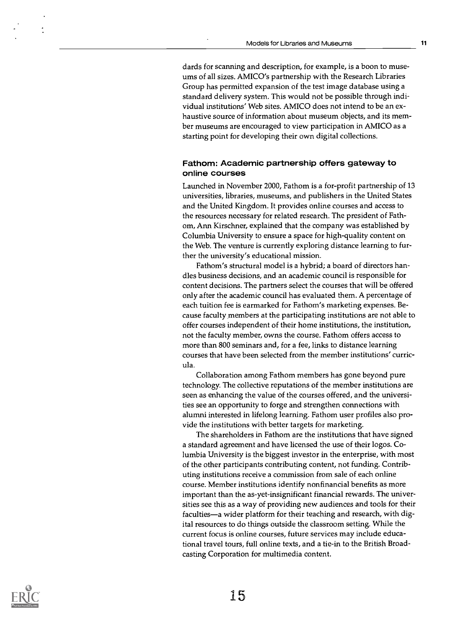dards for scanning and description, for example, is a boon to museums of all sizes. AMICO's partnership with the Research Libraries Group has permitted expansion of the test image database using a standard delivery system. This would not be possible through individual institutions' Web sites. AMICO does not intend to be an exhaustive source of information about museum objects, and its member museums are encouraged to view participation in AMICO as a starting point for developing their own digital collections.

#### Fathom: Academic partnership offers gateway to online courses

Launched in November 2000, Fathom is a for-profit partnership of 13 universities, libraries, museums, and publishers in the United States and the United Kingdom. It provides online courses and access to the resources necessary for related research. The president of Fathom, Ann Kirschner, explained that the company was established by Columbia University to ensure a space for high-quality content on the Web. The venture is currently exploring distance learning to further the university's educational mission.

Fathom's structural model is a hybrid; a board of directors handles business decisions, and an academic council is responsible for content decisions. The partners select the courses that will be offered only after the academic council has evaluated them. A percentage of each tuition fee is earmarked for Fathom's marketing expenses. Because faculty members at the participating institutions are not able to offer courses independent of their home institutions, the institution, not the faculty member, owns the course. Fathom offers access to more than 800 seminars and, for a fee, links to distance learning courses that have been selected from the member institutions' curricula.

Collaboration among Fathom members has gone beyond pure technology. The collective reputations of the member institutions are seen as enhancing the value of the courses offered, and the universities see an opportunity to forge and strengthen connections with alumni interested in lifelong learning. Fathom user profiles also provide the institutions with better targets for marketing.

The shareholders in Fathom are the institutions that have signed a standard agreement and have licensed the use of their logos. Columbia University is the biggest investor in the enterprise, with most of the other participants contributing content, not funding. Contributing institutions receive a commission from sale of each online course. Member institutions identify nonfinancial benefits as more important than the as-yet-insignificant financial rewards. The universities see this as a way of providing new audiences and tools for their faculties—a wider platform for their teaching and research, with digital resources to do things outside the classroom setting. While the current focus is online courses, future services may include educational travel tours, full online texts, and a tie-in to the British Broadcasting Corporation for multimedia content.

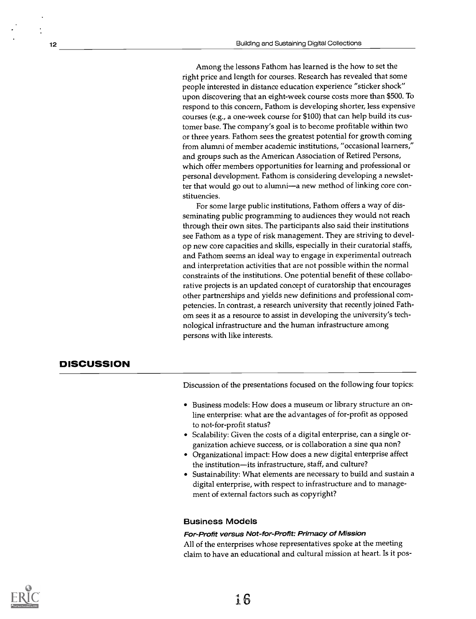Among the lessons Fathom has learned is the how to set the right price and length for courses. Research has revealed that some people interested in distance education experience "sticker shock" upon discovering that an eight-week course costs more than \$500. To respond to this concern, Fathom is developing shorter, less expensive courses (e.g., a one-week course for \$100) that can help build its customer base. The company's goal is to become profitable within two or three years. Fathom sees the greatest potential for growth coming from alumni of member academic institutions, "occasional learners," and groups such as the American Association of Retired Persons, which offer members opportunities for learning and professional or personal development. Fathom is considering developing a newsletter that would go out to alumni—a new method of linking core constituencies.

For some large public institutions, Fathom offers a way of disseminating public programming to audiences they would not reach through their own sites. The participants also said their institutions see Fathom as a type of risk management. They are striving to develop new core capacities and skills, especially in their curatorial staffs, and Fathom seems an ideal way to engage in experimental outreach and interpretation activities that are not possible within the normal constraints of the institutions. One potential benefit of these collaborative projects is an updated concept of curatorship that encourages other partnerships and yields new definitions and professional competencies. In contrast, a research university that recently joined Fathom sees it as a resource to assist in developing the university's technological infrastructure and the human infrastructure among persons with like interests.

#### **DISCUSSION**

Discussion of the presentations focused on the following four topics:

- Business models: How does a museum or library structure an online enterprise: what are the advantages of for-profit as opposed to not-for-profit status?
- Scalability: Given the costs of a digital enterprise, can a single organization achieve success, or is collaboration a sine qua non?
- Organizational impact: How does a new digital enterprise affect the institution—its infrastructure, staff, and culture?
- Sustainability: What elements are necessary to build and sustain a digital enterprise, with respect to infrastructure and to management of external factors such as copyright?

#### Business Models

#### For-Profit versus Not-for-Profit: Primacy of Mission

All of the enterprises whose representatives spoke at the meeting claim to have an educational and cultural mission at heart. Is it p05-

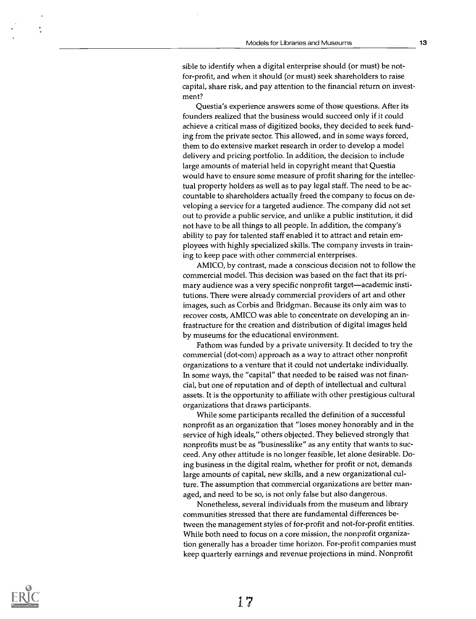sible to identify when a digital enterprise should (or must) be notfor-profit, and when it should (or must) seek shareholders to raise capital, share risk, and pay attention to the financial return on investment?

Questia's experience answers some of those questions. After its founders realized that the business would succeed only if it could achieve a critical mass of digitized books, they decided to seek funding from the private sector. This allowed, and in some ways forced, them to do extensive market research in order to develop a model delivery and pricing portfolio. In addition, the decision to include large amounts of material held in copyright meant that Questia would have to ensure some measure of profit sharing for the intellectual property holders as well as to pay legal staff. The need to be accountable to shareholders actually freed the company to focus on developing a service for a targeted audience. The company did not set out to provide a public service, and unlike a public institution, it did not have to be all things to all people. In addition, the company's ability to pay for talented staff enabled it to attract and retain employees with highly specialized skills. The company invests in training to keep pace with other commercial enterprises.

AMICO, by contrast, made a conscious decision not to follow the commercial model. This decision was based on the fact that its primary audience was a very specific nonprofit target—academic institutions. There were already commercial providers of art and other images, such as Corbis and Bridgman. Because its only aim was to recover costs, AMICO was able to concentrate on developing an infrastructure for the creation and distribution of digital images held by museums for the educational environment.

Fathom was funded by a private university. It decided to try the commercial (dot-com) approach as a way to attract other nonprofit organizations to a venture that it could not undertake individually. In some ways, the "capital" that needed to be raised was not financial, but one of reputation and of depth of intellectual and cultural assets. It is the opportunity to affiliate with other prestigious cultural organizations that draws participants.

While some participants recalled the definition of a successful nonprofit as an organization that "loses money honorably and in the service of high ideals," others objected. They believed strongly that nonprofits must be as "businesslike" as any entity that wants to succeed. Any other attitude is no longer feasible, let alone desirable. Doing business in the digital realm, whether for profit or not, demands large amounts of capital, new skills, and a new organizational culture. The assumption that commercial organizations are better managed, and need to be so, is not only false but also dangerous.

Nonetheless, several individuals from the museum and library communities stressed that there are fundamental differences between the management styles of for-profit and not-for-profit entities. While both need to focus on a core mission, the nonprofit organization generally has a broader time horizon. For-profit companies must keep quarterly earnings and revenue projections in mind. Nonprofit

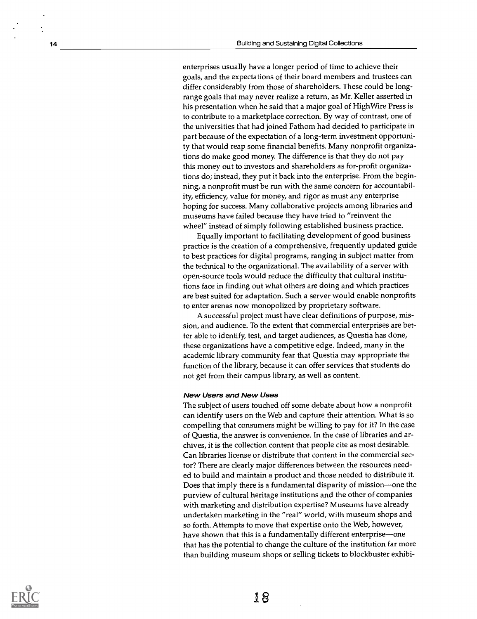enterprises usually have a longer period of time to achieve their goals, and the expectations of their board members and trustees can differ considerably from those of shareholders. These could be longrange goals that may never realize a return, as Mr. Keller asserted in his presentation when he said that a major goal of High Wire Press is to contribute to a marketplace correction. By way of contrast, one of the universities that had joined Fathom had decided to participate in part because of the expectation of a long-term investment opportunity that would reap some financial benefits. Many nonprofit organizations do make good money. The difference is that they do not pay this money out to investors and shareholders as for-profit organizations do; instead, they put it back into the enterprise. From the beginning, a nonprofit must be run with the same concern for accountability, efficiency, value for money, and rigor as must any enterprise hoping for success. Many collaborative projects among libraries and museums have failed because they have tried to "reinvent the wheel" instead of simply following established business practice.

Equally important to facilitating development of good business practice is the creation of a comprehensive, frequently updated guide to best practices for digital programs, ranging in subject matter from the technical to the organizational. The availability of a server with open-source tools would reduce the difficulty that cultural institutions face in finding out what others are doing and which practices are best suited for adaptation. Such a server would enable nonprofits to enter arenas now monopolized by proprietary software.

A successful project must have clear definitions of purpose, mission, and audience. To the extent that commercial enterprises are better able to identify, test, and target audiences, as Questia has done, these organizations have a competitive edge. Indeed, many in the academic library community fear that Questia may appropriate the function of the library, because it can offer services that students do not get from their campus library, as well as content.

#### New Users and New Uses

The subject of users touched off some debate about how a nonprofit can identify users on the Web and capture their attention. What is so compelling that consumers might be willing to pay for it? In the case of Questia, the answer is convenience. In the case of libraries and archives, it is the collection content that people cite as most desirable. Can libraries license or distribute that content in the commercial sector? There are clearly major differences between the resources needed to build and maintain a product and those needed to distribute it. Does that imply there is a fundamental disparity of mission—one the purview of cultural heritage institutions and the other of companies with marketing and distribution expertise? Museums have already undertaken marketing in the "real" world, with museum shops and so forth. Attempts to move that expertise onto the Web, however, have shown that this is a fundamentally different enterprise—one that has the potential to change the culture of the institution far more than building museum shops or selling tickets to blockbuster exhibi-

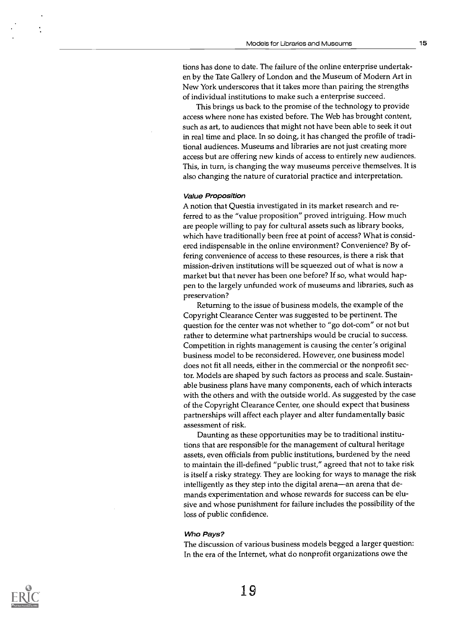tions has done to date. The failure of the online enterprise undertaken by the Tate Gallery of London and the Museum of Modern Art in New York underscores that it takes more than pairing the strengths of individual institutions to make such a enterprise succeed.

This brings us back to the promise of the technology to provide access where none has existed before. The Web has brought content, such as art, to audiences that might not have been able to seek it out in real time and place. In so doing, it has changed the profile of traditional audiences. Museums and libraries are not just creating more access but are offering new kinds of access to entirely new audiences. This, in turn, is changing the way museums perceive themselves. It is also changing the nature of curatorial practice and interpretation.

#### Value Proposition

A notion that Questia investigated in its market research and referred to as the "value proposition" proved intriguing. How much are people willing to pay for cultural assets such as library books, which have traditionally been free at point of access? What is considered indispensable in the online environment? Convenience? By offering convenience of access to these resources, is there a risk that mission-driven institutions will be squeezed out of what is now a market but that never has been one before? If so, what would happen to the largely unfunded work of museums and libraries, such as preservation?

Returning to the issue of business models, the example of the Copyright Clearance Center was suggested to be pertinent. The question for the center was not whether to "go dot-com" or not but rather to determine what partnerships would be crucial to success. Competition in rights management is causing the center's original business model to be reconsidered. However, one business model does not fit all needs, either in the commercial or the nonprofit sector. Models are shaped by such factors as process and scale. Sustainable business plans have many components, each of which interacts with the others and with the outside world. As suggested by the case of the Copyright Clearance Center, one should expect that business partnerships will affect each player and alter fundamentally basic assessment of risk.

Daunting as these opportunities may be to traditional institutions that are responsible for the management of cultural heritage assets, even officials from public institutions, burdened by the need to maintain the ill-defined "public trust," agreed that not to take risk is itself a risky strategy. They are looking for ways to manage the risk intelligently as they step into the digital arena-an arena that demands experimentation and whose rewards for success can be elusive and whose punishment for failure includes the possibility of the loss of public confidence.

#### Who Pays?

The discussion of various business models begged a larger question: In the era of the Internet, what do nonprofit organizations owe the

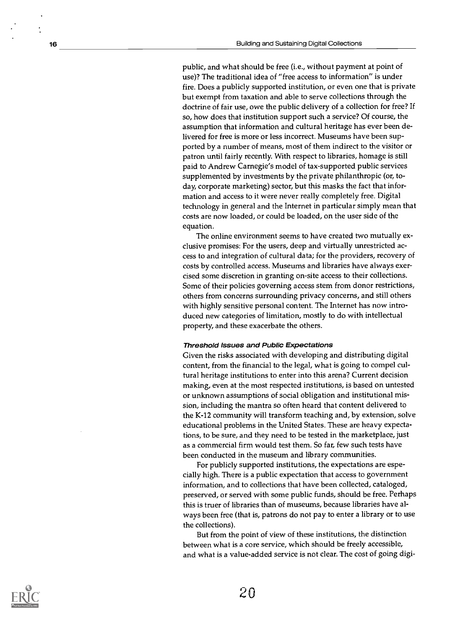public, and what should be free (i.e., without payment at point of use)? The traditional idea of "free access to information" is under fire. Does a publicly supported institution, or even one that is private but exempt from taxation and able to serve collections through the doctrine of fair use, owe the public delivery of a collection for free? If so, how does that institution support such a service? Of course, the assumption that information and cultural heritage has ever been delivered for free is more or less incorrect. Museums have been supported by a number of means, most of them indirect to the visitor or patron until fairly recently. With respect to libraries, homage is still paid to Andrew Carnegie's model of tax-supported public services supplemented by investments by the private philanthropic (or, today, corporate marketing) sector, but this masks the fact that information and access to it were never really completely free. Digital technology in general and the Internet in particular simply mean that costs are now loaded, or could be loaded, on the user side of the equation.

The online environment seems to have created two mutually exclusive promises: For the users, deep and virtually unrestricted access to and integration of cultural data; for the providers, recovery of costs by controlled access. Museums and libraries have always exercised some discretion in granting on-site access to their collections. Some of their policies governing access stem from donor restrictions, others from concerns surrounding privacy concerns, and still others with highly sensitive personal content. The Internet has now introduced new categories of limitation, mostly to do with intellectual property, and these exacerbate the others.

#### Threshold Issues and Public Expectations

Given the risks associated with developing and distributing digital content, from the financial to the legal, what is going to compel cultural heritage institutions to enter into this arena? Current decision making, even at the most respected institutions, is based on untested or unknown assumptions of social obligation and institutional mission, including the mantra so often heard that content delivered to the K-12 community will transform teaching and, by extension, solve educational problems in the United States. These are heavy expectations, to be sure, and they need to be tested in the marketplace, just as a commercial firm would test them. So far, few such tests have been conducted in the museum and library communities.

For publicly supported institutions, the expectations are especially high. There is a public expectation that access to government information, and to collections that have been collected, cataloged, preserved, or served with some public funds, should be free. Perhaps this is truer of libraries than of museums, because libraries have always been free (that is, patrons do not pay to enter a library or to use the collections).

But from the point of view of these institutions, the distinction between what is a core service, which should be freely accessible, and what is a value-added service is not clear. The cost of going digi-

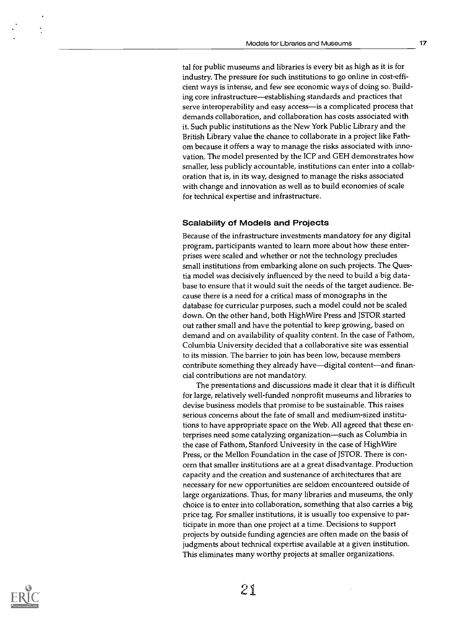tal for public museums and libraries is every bit as high as it is for industry. The pressure for such institutions to go online in cost-efficient ways is intense, and few see economic ways of doing so. Building core infrastructure—establishing standards and practices that serve interoperability and easy access-is a complicated process that demands collaboration, and collaboration has costs associated with it. Such public institutions as the New York Public Library and the British Library value the chance to collaborate in a project like Fathom because it offers a way to manage the risks associated with innovation. The model presented by the ICP and GEH demonstrates how smaller, less publicly accountable, institutions can enter into a collaboration that is, in its way, designed to manage the risks associated with change and innovation as well as to build economies of scale for technical expertise and infrastructure.

#### Scalability of Models and Projects

Because of the infrastructure investments mandatory for any digital program, participants wanted to learn more about how these enterprises were scaled and whether or not the technology precludes small institutions from embarking alone on such projects. The Questia model was decisively influenced by the need to build a big database to ensure that it would suit the needs of the target audience. Because there is a need for a critical mass of monographs in the database for curricular purposes, such a model could not be scaled down. On the other hand, both High Wire Press and JSTOR started out rather small and have the potential to keep growing, based on demand and on availability of quality content. In the case of Fathom, Columbia University decided that a collaborative site was essential to its mission. The barrier to join has been low, because members contribute something they already have—digital content—and financial contributions are not mandatory.

The presentations and discussions made it clear that it is difficult for large, relatively well-funded nonprofit museums and libraries to devise business models that promise to be sustainable. This raises serious concerns about the fate of small and medium-sized institutions to have appropriate space on the Web. All agreed that these enterprises need some catalyzing organization-such as Columbia in the case of Fathom, Stanford University in the case of High Wire Press, or the Mellon Foundation in the case of JSTOR. There is concern that smaller institutions are at a great disadvantage. Production capacity and the creation and sustenance of architectures that are necessary for new opportunities are seldom encountered outside of large organizations. Thus, for many libraries and museums, the only choice is to enter into collaboration, something that also carries a big price tag. For smaller institutions, it is usually too expensive to participate in more than one project at a time. Decisions to support projects by outside funding agencies are often made on the basis of judgments about technical expertise available at a given institution. This eliminates many worthy projects at smaller organizations.

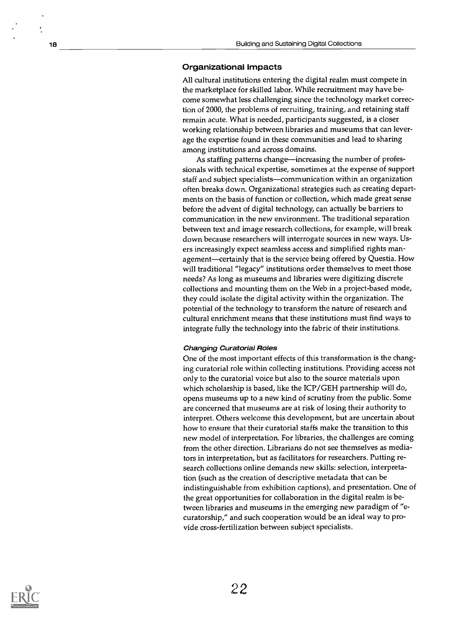#### Organizational Impacts

All cultural institutions entering the digital realm must compete in the marketplace for skilled labor. While recruitment may have become somewhat less challenging since the technology market correction of 2000, the problems of recruiting, training, and retaining staff remain acute. What is needed, participants suggested, is a closer working relationship between libraries and museums that can leverage the expertise found in these communities and lead to sharing among institutions and across domains.

As staffing patterns change—increasing the number of professionals with technical expertise, sometimes at the expense of support staff and subject specialists-communication within an organization often breaks down. Organizational strategies such as creating departments on the basis of function or collection, which made great sense before the advent of digital technology, can actually be barriers to communication in the new environment. The traditional separation between text and image research collections, for example, will break down because researchers will interrogate sources in new ways. Users increasingly expect seamless access and simplified rights management-certainly that is the service being offered by Questia. How will traditional "legacy" institutions order themselves to meet those needs? As long as museums and libraries were digitizing discrete collections and mounting them on the Web in a project-based mode, they could isolate the digital activity within the organization. The potential of the technology to transform the nature of research and cultural enrichment means that these institutions must find ways to integrate fully the technology into the fabric of their institutions.

#### Changing Curatorial Roles

One of the most important effects of this transformation is the changing curatorial role within collecting institutions. Providing access not only to the curatorial voice but also to the source materials upon which scholarship is based, like the ICP/GEH partnership will do, opens museums up to a new kind of scrutiny from the public. Some are concerned that museums are at risk of losing their authority to interpret. Others welcome this development, but are uncertain about how to ensure that their curatorial staffs make the transition to this new model of interpretation. For libraries, the challenges are coming from the other direction. Librarians do not see themselves as mediators in interpretation, but as facilitators for researchers. Putting research collections online demands new skills: selection, interpretation (such as the creation of descriptive metadata that can be indistinguishable from exhibition captions), and presentation. One of the great opportunities for collaboration in the digital realm is between libraries and museums in the emerging new paradigm of "ecuratorship," and such cooperation would be an ideal way to provide cross-fertilization between subject specialists.

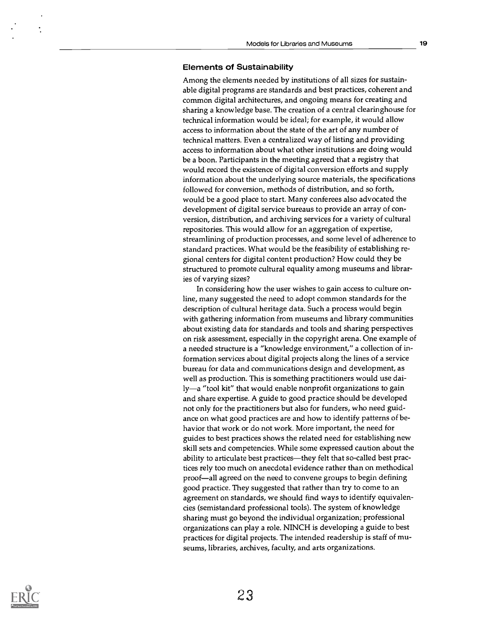#### Elements of Sustainability

Among the elements needed by institutions of all sizes for sustainable digital programs are standards and best practices, coherent and common digital architectures, and ongoing means for creating and sharing a knowledge base. The creation of a central clearinghouse for technical information would be ideal; for example, it would allow access to information about the state of the art of any number of technical matters. Even a centralized way of listing and providing access to information about what other institutions are doing would be a boon. Participants in the meeting agreed that a registry that would record the existence of digital conversion efforts and supply information about the underlying source materials, the specifications followed for conversion, methods of distribution, and so forth, would be a good place to start. Many conferees also advocated the development of digital service bureaus to provide an array of conversion, distribution, and archiving services for a variety of cultural repositories. This would allow for an aggregation of expertise, streamlining of production processes, and some level of adherence to standard practices. What would be the feasibility of establishing regional centers for digital content production? How could they be structured to promote cultural equality among museums and libraries of varying sizes?

In considering how the user wishes to gain access to culture online, many suggested the need to adopt common standards for the description of cultural heritage data. Such a process would begin with gathering information from museums and library communities about existing data for standards and tools and sharing perspectives on risk assessment, especially in the copyright arena. One example of a needed structure is a "knowledge environment," a collection of information services about digital projects along the lines of a service bureau for data and communications design and development, as well as production. This is something practitioners would use daily—a "tool kit" that would enable nonprofit organizations to gain and share expertise. A guide to good practice should be developed not only for the practitioners but also for funders, who need guidance on what good practices are and how to identify patterns of behavior that work or do not work. More important, the need for guides to best practices shows the related need for establishing new skill sets and competencies. While some expressed caution about the ability to articulate best practices—they felt that so-called best practices rely too much on anecdotal evidence rather than on methodical proof—all agreed on the need to convene groups to begin defining good practice. They suggested that rather than try to come to an agreement on standards, we should find ways to identify equivalencies (semistandard professional tools). The system of knowledge sharing must go beyond the individual organization; professional organizations can play a role. NINCH is developing a guide to best practices for digital projects. The intended readership is staff of museums, libraries, archives, faculty, and arts organizations.

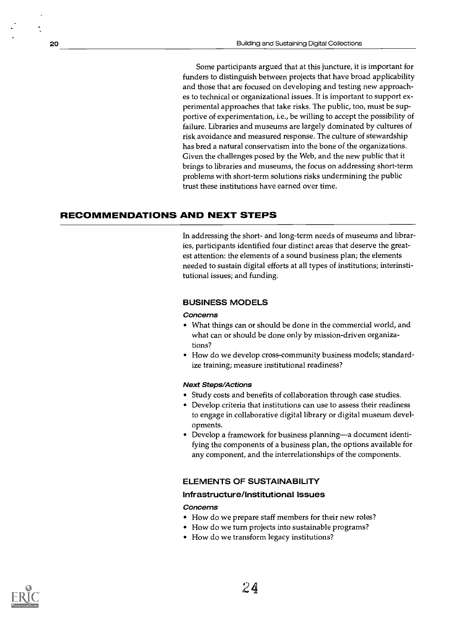Some participants argued that at this juncture, it is important for funders to distinguish between projects that have broad applicability and those that are focused on developing and testing new approaches to technical or organizational issues. It is important to support experimental approaches that take risks. The public, too, must be supportive of experimentation, i.e., be willing to accept the possibility of failure. Libraries and museums are largely dominated by cultures of risk avoidance and measured response. The culture of stewardship has bred a natural conservatism into the bone of the organizations. Given the challenges posed by the Web, and the new public that it brings to libraries and museums, the focus on addressing short-term problems with short-term solutions risks undermining the public trust these institutions have earned over time.

#### RECOMMENDATIONS AND NEXT STEPS

In addressing the short- and long-term needs of museums and libraries, participants identified four distinct areas that deserve the greatest attention: the elements of a sound business plan; the elements needed to sustain digital efforts at all types of institutions; interinstitutional issues; and funding.

#### BUSINESS MODELS

#### Concerns

- What things can or should be done in the commercial world, and what can or should be done only by mission-driven organizations?
- How do we develop cross-community business models; standardize training; measure institutional readiness?

#### Next Steps/Actions

- Study costs and benefits of collaboration through case studies.
- Develop criteria that institutions can use to assess their readiness to engage in collaborative digital library or digital museum developments.
- Develop a framework for business planning—a document identifying the components of a business plan, the options available for any component, and the interrelationships of the components.

#### ELEMENTS OF SUSTAINABILITY

#### Infrastructure/Institutional Issues

#### Concerns

- How do we prepare staff members for their new roles?
- How do we turn projects into sustainable programs?
- How do we transform legacy institutions?

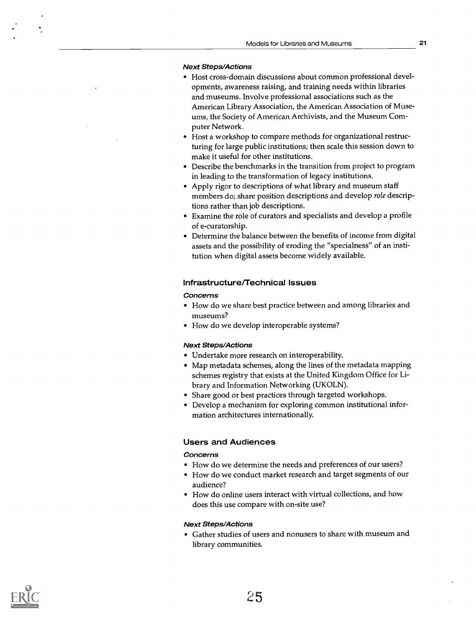#### Next Steps/Actions

- Host cross-domain discussions about common professional developments, awareness raising, and training needs within libraries and museums. Involve professional associations such as the American Library Association, the American Association of Museums, the Society of American Archivists, and the Museum Computer Network.
- Host a workshop to compare methods for organizational restructuring for large public institutions; then scale this session down to make it useful for other institutions.
- Describe the benchmarks in the transition from project to program in leading to the transformation of legacy institutions.
- Apply rigor to descriptions of what library and museum staff members do; share position descriptions and develop role descriptions rather than job descriptions.
- Examine the role of curators and specialists and develop a profile of e-curatorship.
- Determine the balance between the benefits of income from digital assets and the possibility of eroding the "specialness" of an institution when digital assets become widely available.

#### Infrastructure/Technical Issues

#### Concerns

- How do we share best practice between and among libraries and museums?
- How do we develop interoperable systems?

#### Next Steps/Actions

- Undertake more research on interoperability.
- Map metadata schemes, along the lines of the metadata mapping schemes registry that exists at the United Kingdom Office for Library and Information Networking (UKOLN).
- Share good or best practices through targeted workshops.
- Develop a mechanism for exploring common institutional information architectures internationally.

#### Users and Audiences

#### Concerns

- How do we determine the needs and preferences of our users?
- How do we conduct market research and target segments of our audience?
- How do online users interact with virtual collections, and how does this use compare with on-site use?

#### Next Steps/Actions

Gather studies of users and nonusers to share with museum and library communities.

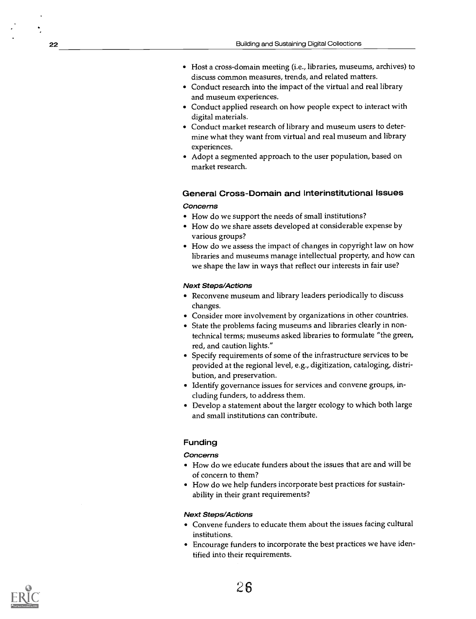- Host a cross-domain meeting (i.e., libraries, museums, archives) to discuss common measures, trends, and related matters.
- Conduct research into the impact of the virtual and real library and museum experiences.
- Conduct applied research on how people expect to interact with digital materials.
- Conduct market research of library and museum users to determine what they want from virtual and real museum and library experiences.
- Adopt a segmented approach to the user population, based on market research.

#### General Cross-Domain and Interinstitutional Issues Concerns

- How do we support the needs of small institutions?
- How do we share assets developed at considerable expense by various groups?
- How do we assess the impact of changes in copyright law on how libraries and museums manage intellectual property, and how can we shape the law in ways that reflect our interests in fair use?

#### Next Steps/Actions

- Reconvene museum and library leaders periodically to discuss changes.
- Consider more involvement by organizations in other countries.
- State the problems facing museums and libraries clearly in nontechnical terms; museums asked libraries to formulate "the green, red, and caution lights."
- Specify requirements of some of the infrastructure services to be provided at the regional level, e.g., digitization, cataloging, distribution, and preservation.
- Identify governance issues for services and convene groups, including funders, to address them.
- Develop a statement about the larger ecology to which both large and small institutions can contribute.

#### Funding

#### Concerns

- How do we educate funders about the issues that are and will be of concern to them?
- How do we help funders incorporate best practices for sustainability in their grant requirements?

#### Next Steps/Actions

- Convene funders to educate them about the issues facing cultural institutions.
- Encourage funders to incorporate the best practices we have identified into their requirements.

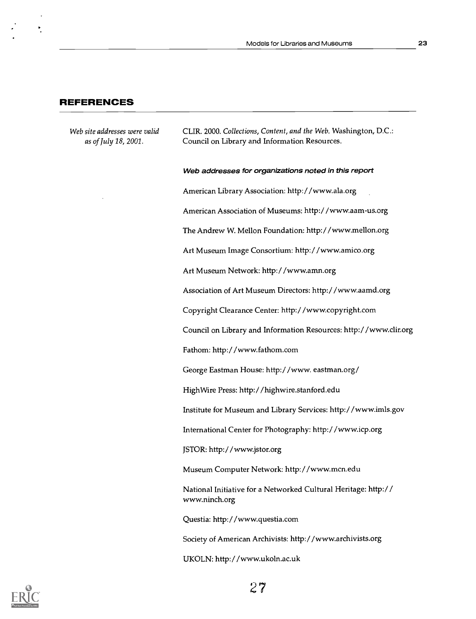#### REFERENCES

Web site addresses were valid CLIR. 2000. Collections, Content, and the Web. Washington, D.C.: as of July 18, 2001. Council on Library and Information Resources.

Web addresses for organizations noted in this report

American Library Association: http://www.ala.org

American Association of Museums: http:/ /www.aam-us.org

The Andrew W. Mellon Foundation: http://www.mellon.org

Art Museum Image Consortium: http://www.amico.org

Art Museum Network: http://www.amn.org

Association of Art Museum Directors: http:/ /www.aamd.org

Copyright Clearance Center: http:/ /www.copyright.com

Council on Library and Information Resources: http://www.clir.org

Fathom: http:/ /www.fathom.com

George Eastman House: http://www. eastman.org/

HighWire Press: http:/ /highwire.stanford.edu

Institute for Museum and Library Services: http:/ /www.imls.gov

International Center for Photography: http:/ /www.icp.org

JSTOR: http://www.jstor.org

Museum Computer Network: http://www.mcn.edu

National Initiative for a Networked Cultural Heritage: http:// www.ninch.org

Questia: http://www.questia.com

Society of American Archivists: http://www.archivists.org

UKOLN: http:/ /www.ukoln.ac.uk

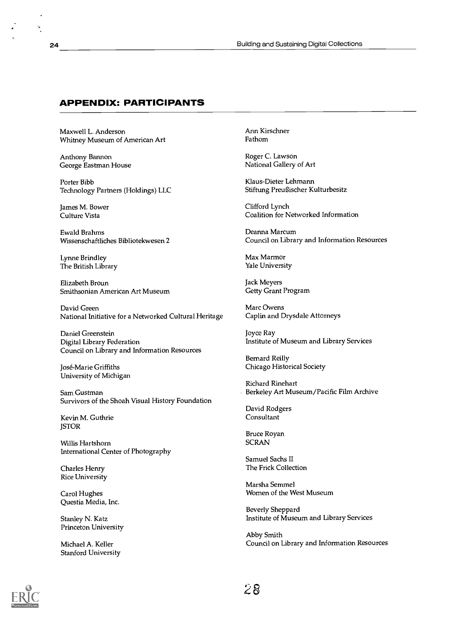#### APPENDIX: PARTICIPANTS

Maxwell L. Anderson Whitney Museum of American Art

Anthony Bannon<br>
George Eastman House Transies and Roger C. Lawson<br>
Rational Gallery of Art George Eastman House

Porter Bibb<br>
Technology Partners (Holdings) LLC<br>
Stiftung Preußischer Kulturbesitz Technology Partners (Holdings) LLC

James M. Bower Culture Vista

Ewald Brahms Deanna Marcum

Lynne Brindley The British Library

Elizabeth Broun Jack Meyers Smithsonian American Art Museum

David Green<br>National Initiative for a Networked Cultural Heritage Caplin and Drysdale Attorneys National Initiative for a Networked Cultural Heritage

Daniel Greenstein Digital Library Federation Council on Library and Information Resources

University of Michigan

Survivors of the Shoah Visual History Foundation

Kevin M. Guthrie **ISTOR** 

Willis Hartshorn International Center of Photography

Charles Henry Rice University

Questia Media, Inc.

Princeton University

Stanford University

Arm Kirschner Fathom

Clifford Lynch Coalition for Networked Information

Council on Library and Information Resources

Max Marmor Yale University

Joyce Ray Institute of Museum and Library Services

Bernard Reilly José-Marie Griffiths **Chicago Historical Society** Chicago Historical Society

Richard Rinehart Sam Gustman Berkeley Art Museum/Pacific Film Archive

> David Rodgers **Consultant**

Bruce Royan **SCRAN** 

Samuel Sachs II The Frick Collection

Marsha Semmel Carol Hughes **Carol Hughes** Carol Hughes **Women** of the West Museum

Beverly Sheppard Stanley N. Katz **Institute of Museum and Library Services** Institute of Museum and Library Services

Abby Smith Michael A. Keller Council on Library and Information Resources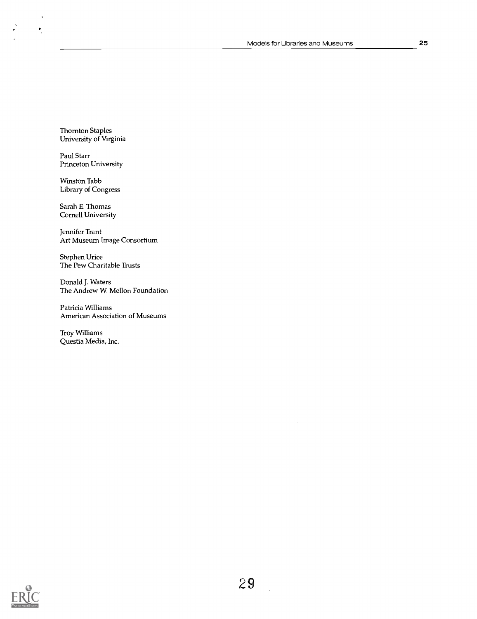Thornton Staples University of Virginia

 $\ddot{\phantom{0}}$ 

 $\bullet$ 

 $\ddot{\cdot}$ 

Paul Starr Princeton University

Winston Tabb Library of Congress

Sarah E. Thomas Cornell University

Jennifer Trant Art Museum Image Consortium

Stephen Urice The Pew Charitable Trusts

Donald J. Waters The Andrew W. Mellon Foundation

Patricia Williams American Association of Museums

Troy Williams Questia Media, Inc.

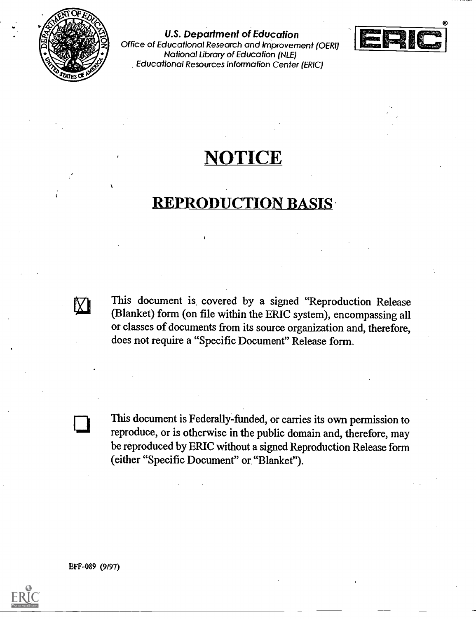

U.S. Department of Education Office of Educational Research and Improvement (OER1) National Library of Education (NLE) Educational Resources Information Center (ERIC)



## NOTICE

### REPRODUCTION BASIS

This document is covered by a signed "Reproduction Release (Blanket) form (on file within the ERIC system), encompassing all or classes of documents from its source organization and, therefore, does not require a "Specific Document" Release form.

This document is Federally-funded, or carries its own permission to reproduce, or is otherwise in the public domain and, therefore, may be reproduced by ERIC without a signed Reproduction Release form (either "Specific Document" or. "Blanket").

EFF-089 (9/97)